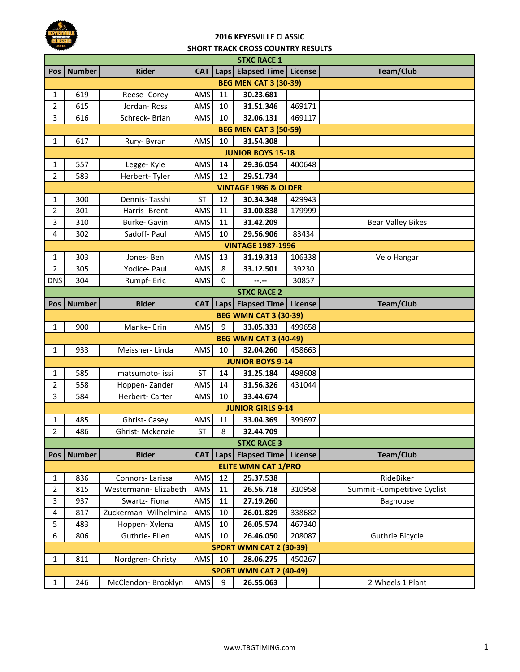

## **SHORT TRACK CROSS COUNTRY RESULTS 2016 KEYESVILLE CLASSIC**

| <b>STXC RACE 1</b>         |                                 |                       |            |                   |                              |                |                              |  |  |  |
|----------------------------|---------------------------------|-----------------------|------------|-------------------|------------------------------|----------------|------------------------------|--|--|--|
| Pos                        | <b>Number</b>                   | <b>Rider</b>          | <b>CAT</b> |                   | Laps Elapsed Time            | License        | <b>Team/Club</b>             |  |  |  |
|                            | <b>BEG MEN CAT 3 (30-39)</b>    |                       |            |                   |                              |                |                              |  |  |  |
| 1                          | 619                             | Reese- Corey          | AMS        | 11                | 30.23.681                    |                |                              |  |  |  |
| $\overline{2}$             | 615                             | Jordan-Ross           | AMS        | 10                | 31.51.346                    | 469171         |                              |  |  |  |
| 3                          | 616                             | Schreck- Brian        | AMS        | 10                | 32.06.131                    | 469117         |                              |  |  |  |
|                            | <b>BEG MEN CAT 3 (50-59)</b>    |                       |            |                   |                              |                |                              |  |  |  |
| $\mathbf{1}$               | 617                             | Rury-Byran            | AMS        | 10                | 31.54.308                    |                |                              |  |  |  |
|                            | <b>JUNIOR BOYS 15-18</b>        |                       |            |                   |                              |                |                              |  |  |  |
| 1                          | 557                             | Legge-Kyle            | AMS        | 14                | 29.36.054                    | 400648         |                              |  |  |  |
| $\overline{2}$             | 583                             | Herbert-Tyler         | AMS        | 12                | 29.51.734                    |                |                              |  |  |  |
|                            | <b>VINTAGE 1986 &amp; OLDER</b> |                       |            |                   |                              |                |                              |  |  |  |
| 1                          | 300                             | Dennis-Tasshi         | <b>ST</b>  | 12                | 30.34.348                    | 429943         |                              |  |  |  |
| $\overline{2}$             | 301                             | Harris-Brent          | AMS        | 11                | 31.00.838                    | 179999         |                              |  |  |  |
| 3                          | 310                             | Burke- Gavin          | AMS        | 11                | 31.42.209                    |                | <b>Bear Valley Bikes</b>     |  |  |  |
| 4                          | 302                             | Sadoff- Paul          | AMS        | 10                | 29.56.906                    | 83434          |                              |  |  |  |
|                            |                                 |                       |            |                   | <b>VINTAGE 1987-1996</b>     |                |                              |  |  |  |
| $\mathbf{1}$               | 303                             | Jones-Ben             | AMS        | 13                | 31.19.313                    | 106338         | Velo Hangar                  |  |  |  |
| $\overline{2}$             | 305                             | Yodice- Paul          | AMS        | 8                 | 33.12.501                    | 39230          |                              |  |  |  |
| <b>DNS</b>                 | 304                             | Rumpf- Eric           | AMS        | 0                 | --.--                        | 30857          |                              |  |  |  |
|                            |                                 |                       |            |                   | <b>STXC RACE 2</b>           |                |                              |  |  |  |
| Pos                        | <b>Number</b>                   | <b>Rider</b>          | <b>CAT</b> |                   | Laps Elapsed Time            | <b>License</b> | <b>Team/Club</b>             |  |  |  |
|                            |                                 |                       |            |                   | <b>BEG WMN CAT 3 (30-39)</b> |                |                              |  |  |  |
| 1                          | 900                             | Manke-Erin            | AMS        | 9                 | 33.05.333                    | 499658         |                              |  |  |  |
|                            |                                 |                       |            |                   | <b>BEG WMN CAT 3 (40-49)</b> |                |                              |  |  |  |
| $\mathbf{1}$               | 933                             | Meissner-Linda        | AMS        | 10                | 32.04.260                    | 458663         |                              |  |  |  |
|                            |                                 |                       |            |                   | <b>JUNIOR BOYS 9-14</b>      |                |                              |  |  |  |
| 1                          | 585                             | matsumoto- issi       | <b>ST</b>  | 14                | 31.25.184                    | 498608         |                              |  |  |  |
| $\overline{2}$             | 558                             | Hoppen-Zander         | AMS        | 14                | 31.56.326                    | 431044         |                              |  |  |  |
| 3                          | 584                             | Herbert-Carter        | AMS        | 10                | 33.44.674                    |                |                              |  |  |  |
|                            |                                 |                       |            |                   | <b>JUNIOR GIRLS 9-14</b>     |                |                              |  |  |  |
| 1                          | 485                             | Ghrist-Casey          | AMS        | 11                | 33.04.369                    | 399697         |                              |  |  |  |
| $\overline{2}$             | 486                             | Ghrist-Mckenzie       | <b>ST</b>  | 8                 | 32.44.709                    |                |                              |  |  |  |
|                            |                                 |                       |            |                   | <b>STXC RACE 3</b>           |                |                              |  |  |  |
| Pos I                      | <b>Number</b>                   | <b>Rider</b>          | <b>CAT</b> | Laps <sup> </sup> | <b>Elapsed Time</b>          | License        | <b>Team/Club</b>             |  |  |  |
| <b>ELITE WMN CAT 1/PRO</b> |                                 |                       |            |                   |                              |                |                              |  |  |  |
| 1                          | 836                             | Connors-Larissa       | AMS        | 12                | 25.37.538                    |                | RideBiker                    |  |  |  |
| $\overline{2}$             | 815                             | Westermann- Elizabeth | AMS        | 11                | 26.56.718                    | 310958         | Summit - Competitive Cyclist |  |  |  |
| 3                          | 937                             | Swartz-Fiona          | AMS        | 11                | 27.19.260                    |                | Baghouse                     |  |  |  |
| 4                          | 817                             | Zuckerman- Wilhelmina | AMS        | 10                | 26.01.829                    | 338682         |                              |  |  |  |
| 5                          | 483                             | Hoppen- Xylena        | AMS        | 10                | 26.05.574                    | 467340         |                              |  |  |  |
| 6                          | 806                             | Guthrie- Ellen        | AMS        | 10                | 26.46.050                    | 208087         | Guthrie Bicycle              |  |  |  |
|                            | <b>SPORT WMN CAT 2 (30-39)</b>  |                       |            |                   |                              |                |                              |  |  |  |
| $\mathbf{1}$               | 811                             | Nordgren-Christy      | AMS        | 10                | 28.06.275                    | 450267         |                              |  |  |  |
|                            |                                 |                       |            |                   | SPORT WMN CAT 2 (40-49)      |                |                              |  |  |  |
| $\mathbf{1}$               | 246                             | McClendon- Brooklyn   | AMS        | 9                 | 26.55.063                    |                | 2 Wheels 1 Plant             |  |  |  |
|                            |                                 |                       |            |                   |                              |                |                              |  |  |  |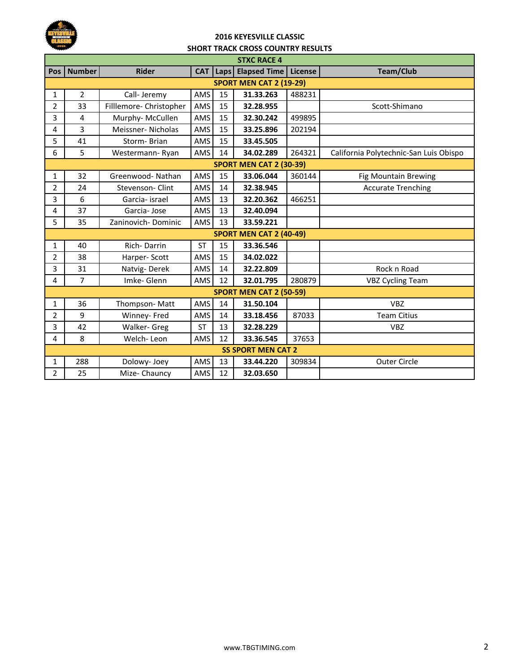

## **SHORT TRACK CROSS COUNTRY RESULTS 2016 KEYESVILLE CLASSIC**

| <b>STXC RACE 4</b>             |                |                         |            |      |                                |         |                                        |  |  |
|--------------------------------|----------------|-------------------------|------------|------|--------------------------------|---------|----------------------------------------|--|--|
| <b>Pos</b>                     | <b>Number</b>  | <b>Rider</b>            | <b>CAT</b> | Laps | <b>Elapsed Time</b>            | License | <b>Team/Club</b>                       |  |  |
| <b>SPORT MEN CAT 2 (19-29)</b> |                |                         |            |      |                                |         |                                        |  |  |
| 1                              | $\overline{2}$ | Call- Jeremy            | AMS        | 15   | 31.33.263                      | 488231  |                                        |  |  |
| $\overline{2}$                 | 33             | Filllemore- Christopher | AMS        | 15   | 32.28.955                      |         | Scott-Shimano                          |  |  |
| 3                              | $\overline{4}$ | Murphy-McCullen         | AMS        | 15   | 32.30.242                      | 499895  |                                        |  |  |
| 4                              | 3              | Meissner-Nicholas       | AMS        | 15   | 33.25.896                      | 202194  |                                        |  |  |
| 5                              | 41             | Storm-Brian             | AMS        | 15   | 33.45.505                      |         |                                        |  |  |
| 6                              | 5              | Westermann-Ryan         | AMS        | 14   | 34.02.289                      | 264321  | California Polytechnic-San Luis Obispo |  |  |
| <b>SPORT MEN CAT 2 (30-39)</b> |                |                         |            |      |                                |         |                                        |  |  |
| $\mathbf{1}$                   | 32             | Greenwood-Nathan        | AMS        | 15   | 33.06.044                      | 360144  | <b>Fig Mountain Brewing</b>            |  |  |
| $\overline{2}$                 | 24             | Stevenson-Clint         | AMS        | 14   | 32.38.945                      |         | <b>Accurate Trenching</b>              |  |  |
| 3                              | 6              | Garcia- israel          | AMS        | 13   | 32.20.362                      | 466251  |                                        |  |  |
| 4                              | 37             | Garcia-Jose             | AMS        | 13   | 32.40.094                      |         |                                        |  |  |
| 5                              | 35             | Zaninovich-Dominic      | AMS        | 13   | 33.59.221                      |         |                                        |  |  |
|                                |                |                         |            |      | <b>SPORT MEN CAT 2 (40-49)</b> |         |                                        |  |  |
| $\mathbf{1}$                   | 40             | Rich-Darrin             | <b>ST</b>  | 15   | 33.36.546                      |         |                                        |  |  |
| $\overline{2}$                 | 38             | Harper-Scott            | <b>AMS</b> | 15   | 34.02.022                      |         |                                        |  |  |
| 3                              | 31             | Natvig-Derek            | AMS        | 14   | 32.22.809                      |         | Rock n Road                            |  |  |
| 4                              | $\overline{7}$ | Imke-Glenn              | AMS        | 12   | 32.01.795                      | 280879  | <b>VBZ Cycling Team</b>                |  |  |
| <b>SPORT MEN CAT 2 (50-59)</b> |                |                         |            |      |                                |         |                                        |  |  |
| 1                              | 36             | Thompson-Matt           | AMS        | 14   | 31.50.104                      |         | <b>VBZ</b>                             |  |  |
| $\overline{2}$                 | 9              | Winney- Fred            | AMS        | 14   | 33.18.456                      | 87033   | <b>Team Citius</b>                     |  |  |
| 3                              | 42             | Walker- Greg            | <b>ST</b>  | 13   | 32.28.229                      |         | <b>VBZ</b>                             |  |  |
| 4                              | 8              | Welch-Leon              | <b>AMS</b> | 12   | 33.36.545                      | 37653   |                                        |  |  |
| <b>SS SPORT MEN CAT 2</b>      |                |                         |            |      |                                |         |                                        |  |  |
| $\mathbf{1}$                   | 288            | Dolowy- Joey            | AMS        | 13   | 33.44.220                      | 309834  | <b>Outer Circle</b>                    |  |  |
| $\overline{2}$                 | 25             | Mize- Chauncy           | AMS        | 12   | 32.03.650                      |         |                                        |  |  |